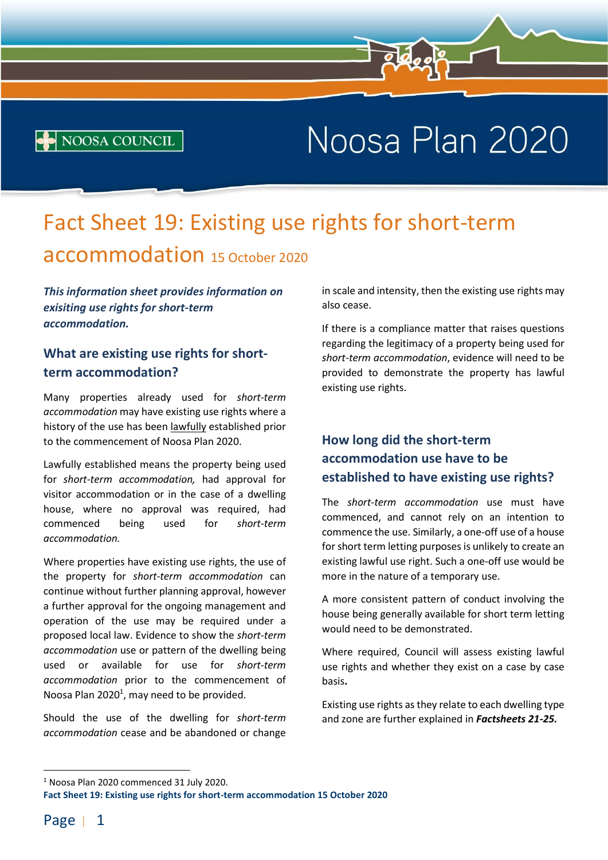# Noosa Plan 2020

## Fact Sheet 19: Existing use rights for short-term accommodation 15 October 2020

 $\overline{R}$  Plan 2020 - Fact Sheet 1: Preparing a well-made application  $\overline{R}$ 

This information sheet provides information on exisiting use rights for short-term accommodation.

**NOOSA COUNCIL** 

#### What are existing use rights for shortterm accommodation?

Many properties already used for short-term accommodation may have existing use rights where a history of the use has been lawfully established prior to the commencement of Noosa Plan 2020.

Lawfully established means the property being used for short-term accommodation, had approval for visitor accommodation or in the case of a dwelling house, where no approval was required, had commenced being used for short-term accommodation.

Where properties have existing use rights, the use of the property for short-term accommodation can continue without further planning approval, however a further approval for the ongoing management and operation of the use may be required under a proposed local law. Evidence to show the short-term accommodation use or pattern of the dwelling being used or available for use for short-term accommodation prior to the commencement of Noosa Plan  $2020<sup>1</sup>$ , may need to be provided.

Should the use of the dwelling for short-term accommodation cease and be abandoned or change

in scale and intensity, then the existing use rights may also cease.

If there is a compliance matter that raises questions regarding the legitimacy of a property being used for short-term accommodation, evidence will need to be provided to demonstrate the property has lawful existing use rights.

#### How long did the short-term accommodation use have to be established to have existing use rights?

The short-term accommodation use must have commenced, and cannot rely on an intention to commence the use. Similarly, a one-off use of a house for short term letting purposes is unlikely to create an existing lawful use right. Such a one-off use would be more in the nature of a temporary use.

A more consistent pattern of conduct involving the house being generally available for short term letting would need to be demonstrated.

Where required, Council will assess existing lawful use rights and whether they exist on a case by case basis.

Existing use rights as they relate to each dwelling type and zone are further explained in Factsheets 21-25.

<sup>&</sup>lt;sup>1</sup> Noosa Plan 2020 commenced 31 July 2020.

Fact Sheet 19: Existing use rights for short-term accommodation 15 October 2020